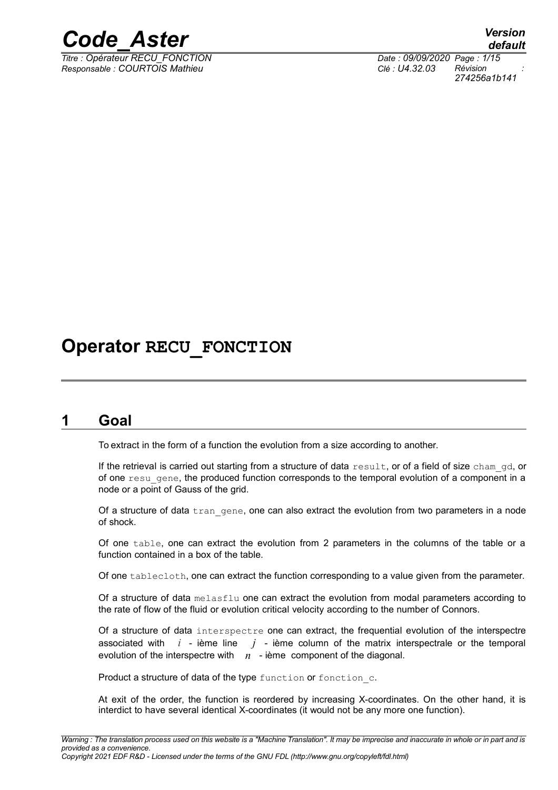

*Titre : Opérateur RECU\_FONCTION Date : 09/09/2020 Page : 1/15 Responsable : COURTOIS Mathieu Clé : U4.32.03 Révision :*

*default 274256a1b141*

# **Operator RECU\_FONCTION**

# **1 Goal**

To extract in the form of a function the evolution from a size according to another.

If the retrieval is carried out starting from a structure of data result, or of a field of size cham gd, or of one result of the produced function corresponds to the temporal evolution of a component in a node or a point of Gauss of the grid.

Of a structure of data  $\text{tran}$  gene, one can also extract the evolution from two parameters in a node of shock.

Of one table, one can extract the evolution from 2 parameters in the columns of the table or a function contained in a box of the table.

Of one tablecloth, one can extract the function corresponding to a value given from the parameter.

Of a structure of data melasflu one can extract the evolution from modal parameters according to the rate of flow of the fluid or evolution critical velocity according to the number of Connors.

Of a structure of data interspectre one can extract, the frequential evolution of the interspectre associated with *i* - ième line *j* - ième column of the matrix interspectrale or the temporal evolution of the interspectre with *n* - ième component of the diagonal.

Product a structure of data of the type function or fonction c.

At exit of the order, the function is reordered by increasing X-coordinates. On the other hand, it is interdict to have several identical X-coordinates (it would not be any more one function).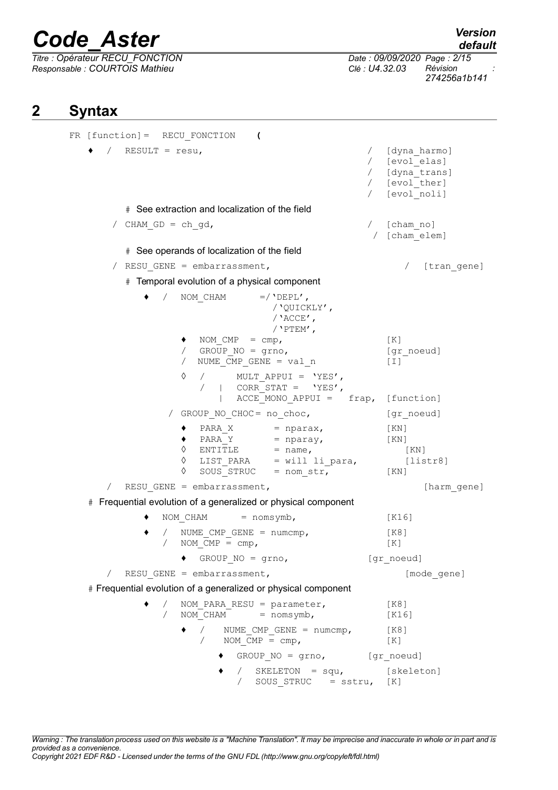*Responsable : COURTOIS Mathieu Clé : U4.32.03 Révision :*

*Titre : Opérateur RECU\_FONCTION Date : 09/09/2020 Page : 2/15 274256a1b141*

# **2 Syntax**

```
FR [function]= RECU_FONCTION (
     / RESULT = resu, \sqrt{2} [dyna harmo]
                                             / [evol_elas]
                                             / [dyna_trans]
                                             / [evol_ther]
                                             / [evol_noli]
        # See extraction and localization of the field
      / CHAM GD = ch qd, / [cham no]
                                              / [cham_elem]
        # See operands of localization of the field
      / RESU GENE = embarrassment, / [tran gene]
        # Temporal evolution of a physical component
           \bullet / NOM CHAM =/'DEPL',
                               /'QUICKLY',
                               /'ACCE',
                              /'PTEM',
                  NOM CMP = cmp, [K]/ GROUP_NO = grno, [\text{gr\_noeud}]/ NUME CMP GENE = val n [I]
                ◊ / MULT_APPUI = 'YES',
                   / | CORR STAT = 'YES',
                      | ACCEMONO APPUI = frap, [function]
               / GROUP_NO_CHOC= no_choc, [gr_noeud]
                \bullet PARA X = nparax, [KN]
                 \triangleleft PARA Y = nparay, [KN]
                \Diamond ENTITLE = name, [KN]
                ◊ LIST_PARA = will li_para, [listr8]
                \Diamond SOUS STRUC = nom str, [KN]
     / RESU GENE = embarrassment, [harmonic] [harm gene]
  # Frequential evolution of a generalized or physical component
           \bullet NOM CHAM = nomsymb, [K16]\bullet / NUME CMP GENE = numcmp, [K8]
                NOM\ \overline{M}P = \text{cmp}, [K]
                ♦ GROUP_NO = grno, [gr_noeud]
     / RESU GENE = embarrassment, [modeqene]# Frequential evolution of a generalized or physical component
                NOM PARA RESU = parameter, [K8]/ NOMCHAM = nomsymb, [K16]
                 \bullet / NUME CMP GENE = numcmp, [K8]
                   / NOM \overline{CMP} = \text{cmp}, [K]
                      \bullet GROUP NO = grno, [gr_noeud]
                         / SKELETON = squ, [skeleton]
                            SOUS STRUC = sstru, [K]
```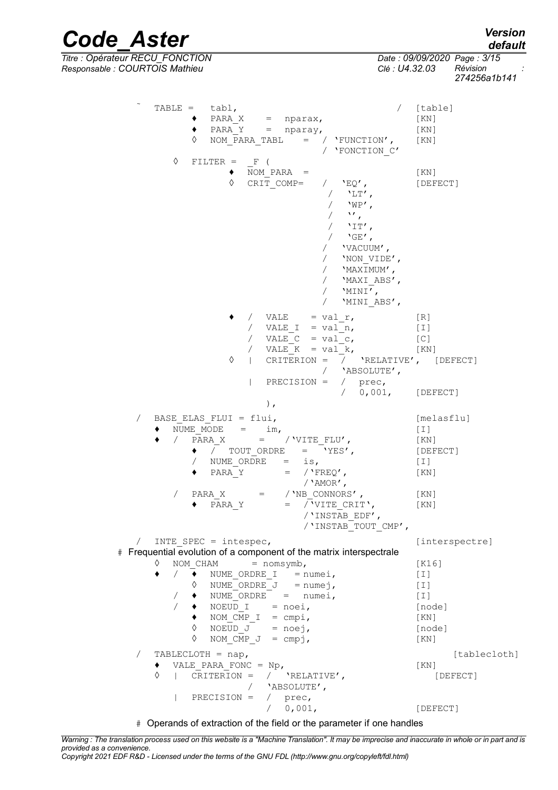*default*

*Code\_Aster Version Titre : Opérateur RECU\_FONCTION Date : 09/09/2020 Page : 3/15 Responsable : COURTOIS Mathieu Clé : U4.32.03 Révision :*

*274256a1b141*

| TABLE = $tabl,$<br>$\bullet$ PARA X = nparax,<br>$\bullet$ PARA Y = nparay,<br>$\Diamond$<br>NOM PARA TABL = $/$ 'FUNCTION', [KN]<br>/ 'FONCTION C'                                                                                                                                                    | / [table]<br>$\lceil KN \rceil$<br>$\lceil KN \rceil$                                             |
|--------------------------------------------------------------------------------------------------------------------------------------------------------------------------------------------------------------------------------------------------------------------------------------------------------|---------------------------------------------------------------------------------------------------|
| ♦<br>$FILTER = F$ (<br>NOM PARA $=$<br>٠<br>♦<br>CRIT COMP= $/$ 'EQ',<br>$/$ 'LT',<br>$'WP'$ ,<br>$\mathcal{M}_{\mathcal{F}}$<br>$\sqrt{2}$<br>$'$ IT',<br>$\sqrt{2}$<br>/ $'$ GE',<br>/ 'VACUUM',<br>'NON VIDE',<br>/ 'MAXIMUM',<br>/ 'MAXI ABS',<br>/ $'MINI',$<br>'MINI ABS',                       | KN<br>[DEFECT]                                                                                    |
| / VALE = $val r$ ,<br>/ VALE I = val n,<br>/ VALE $C = val c$ ,<br>/ VALE $K = val k$ ,<br>  CRITERION = $/$ 'RELATIVE', [DEFECT]<br>♦<br>/ 'ABSOLUTE',<br>PRECISION = $/$ prec,                                                                                                                       | [R]<br>$\lfloor 1 \rfloor$<br>[C]<br>$\lceil KN \rceil$                                           |
| / 0,001, [DEFECT]<br>$\,$ ,                                                                                                                                                                                                                                                                            |                                                                                                   |
| BASE ELAS FLUI = $flui,$<br>$\sqrt{2}$<br>NUME MODE $=$ im,<br>/ PARA X = / VITE FLU',<br>$\bullet$ / TOUT ORDRE = 'YES',<br>/ NUME ORDRE = is,<br>PARA Y = $/$ 'FREQ',<br>/ $'AMOR'$ ,<br>$PARA_X = //NB_CONNORS',$<br>$\sqrt{2}$<br>PARA Y = / 'VITE CRIT',<br>/'INSTAB_EDF',<br>/'INSTAB TOUT CMP', | [melasflu]<br>$[1]$<br>[KN]<br>[DEFECT]<br>$\lfloor \text{I} \rfloor$<br>[KN]<br>[ KN ]<br>[ KN ] |
| INTE SPEC = $intespec,$                                                                                                                                                                                                                                                                                | [interspectre]                                                                                    |
| # Frequential evolution of a component of the matrix interspectrale<br>$=$ nomsymb,<br>♦<br>NOM CHAM                                                                                                                                                                                                   |                                                                                                   |
|                                                                                                                                                                                                                                                                                                        |                                                                                                   |
| / $\rightarrow$ NUME ORDRE I = numei,<br>٠<br>$\Diamond$ NUME ORDRE J = numej,<br>$\bullet$ NUME ORDRE = numei,<br>$\bullet$ NOEUD I = noei,<br>$\bullet$ NOM CMP I = cmpi,<br>$\Diamond$ NOEUD J = noej,<br>♦<br>NOM CMP $J =$ cmpj,                                                                  | [K16]<br>$[1]$<br>$[1]$<br>$[1]$<br>[node]<br>[KN]<br>[node]<br>[KN]                              |
| TABLECLOTH = $nap,$<br>$\sqrt{2}$                                                                                                                                                                                                                                                                      | [tablecloth]                                                                                      |
| VALE PARA FONC = $Np$ ,<br>٠<br>CRITERION = $/$ 'RELATIVE',<br>♦<br>$\mathbf{L}$<br>/ 'ABSOLUTE',<br>PRECISION = $/$ prec,                                                                                                                                                                             | KN<br>[DEFECT]                                                                                    |

# Operands of extraction of the field or the parameter if one handles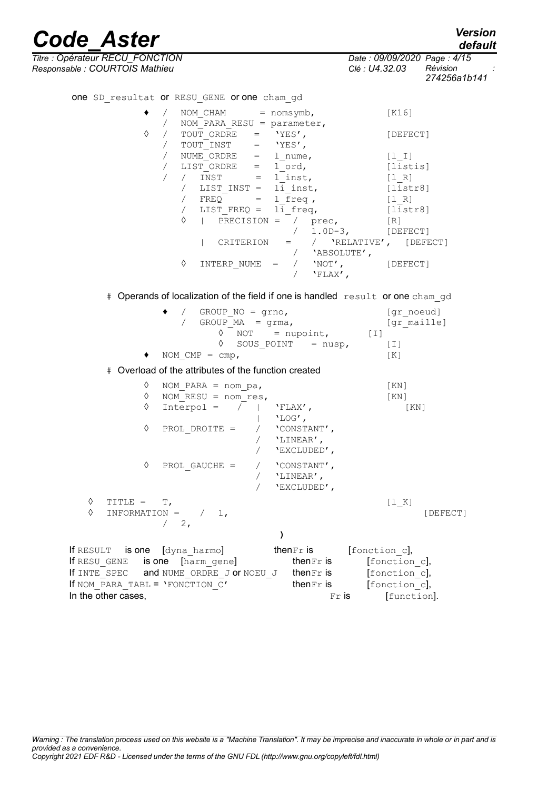*Titre : Opérateur RECU\_FONCTION Date : 09/09/2020 Page : 4/15 Responsable : COURTOIS Mathieu Clé : U4.32.03 Révision :*

one SD resultat or RESU GENE or one cham gd

If NOM\_PARA\_TABL = 'FONCTION\_C' thenFr is [fonction\_c], In the other cases,  $\overline{r}$  is  $\overline{r}$  [function].

*default*

*274256a1b141*

| ٠                  | NOM $CHAM$ = $nomsymb,$<br>$\sqrt{2}$<br>NOM PARA RESU = parameter,<br>$\sqrt{2}$                                                                                                                                                                                                                                                       | [K16]                |
|--------------------|-----------------------------------------------------------------------------------------------------------------------------------------------------------------------------------------------------------------------------------------------------------------------------------------------------------------------------------------|----------------------|
| ♦                  | TOUT ORDRE = $'YES'$ ,<br>$\sqrt{2}$<br>$\text{TOUT\_INST} \qquad = \qquad \text{YES'} \, ,$<br>$\sqrt{2}$                                                                                                                                                                                                                              | [DEFECT]             |
|                    | $\sqrt{2}$<br>NUME ORDRE =<br>1 nume,                                                                                                                                                                                                                                                                                                   | $[1  I]$             |
|                    | LIST <sub>_</sub> ORDRE<br>l ord,<br>$\sqrt{2}$<br>$=$                                                                                                                                                                                                                                                                                  | [listis]             |
|                    | $\sqrt{2}$<br>INST<br>l inst,<br>$\sqrt{2}$<br>$=$                                                                                                                                                                                                                                                                                      | $[1 \ R]$            |
|                    | LIST INST = $li$ inst,<br>$\sqrt{2}$                                                                                                                                                                                                                                                                                                    | [liststr8]           |
|                    | / FREQ<br>1 freq,<br>$=$ $\qquad$                                                                                                                                                                                                                                                                                                       | $[1 R]$              |
|                    | li freq,<br>LIST FREQ =<br>$\sqrt{2}$                                                                                                                                                                                                                                                                                                   | [listr8]             |
|                    | ♦<br>PRECISION = $/$ prec,                                                                                                                                                                                                                                                                                                              | [R]                  |
|                    |                                                                                                                                                                                                                                                                                                                                         | $/ 1.0D-3,$ [DEFECT] |
|                    | CRITERION = $/$ 'RELATIVE', [DEFECT]<br>$\mathbb{R}$                                                                                                                                                                                                                                                                                    |                      |
|                    | / 'ABSOLUTE',                                                                                                                                                                                                                                                                                                                           |                      |
|                    | ♦<br>INTERP NUME = $/$ 'NOT',<br>$\sqrt{2}$<br>$'FLAX'$ ,                                                                                                                                                                                                                                                                               | [DEFECT]             |
|                    | # Operands of localization of the field if one is handled result or one cham_gd                                                                                                                                                                                                                                                         |                      |
|                    | GROUP NO = $grno,$<br>$\sqrt{2}$                                                                                                                                                                                                                                                                                                        | [gr noeud]           |
|                    | $\sqrt{2}$<br>GROUP $MA = grma,$                                                                                                                                                                                                                                                                                                        | [gr maille]          |
|                    | $\Diamond$ NOT = nupoint, [I]                                                                                                                                                                                                                                                                                                           |                      |
|                    | ♦<br>SOUS POINT $=$ nusp,                                                                                                                                                                                                                                                                                                               | $[1]$                |
|                    | NOM $CMP = \text{cmp}$ ,                                                                                                                                                                                                                                                                                                                | [K]                  |
|                    | # Overload of the attributes of the function created                                                                                                                                                                                                                                                                                    |                      |
| ♦                  | NOM PARA = $nom$ pa,                                                                                                                                                                                                                                                                                                                    | KN                   |
| ♦                  | NOM RESU = nom res,                                                                                                                                                                                                                                                                                                                     | [KN]                 |
| ♦                  | $Interpol = /   'FLAX',$<br>$'LOG'$ ,                                                                                                                                                                                                                                                                                                   | [ KN ]               |
| ♦                  | PROL DROITE =<br>$\sqrt{2}$<br>'CONSTANT',<br>'LINEAR',<br>$\sqrt{2}$<br>$\sqrt{2}$<br>'EXCLUDED',                                                                                                                                                                                                                                      |                      |
| ♦                  | PROL GAUCHE =<br>/ 'CONSTANT',<br>$\sqrt{2}$<br>'LINEAR',<br>$\sqrt{2}$<br>'EXCLUDED',                                                                                                                                                                                                                                                  |                      |
| ♦<br>TITLE = $T$ , |                                                                                                                                                                                                                                                                                                                                         | [1 K]                |
| ♦                  | $INFORMATION =$<br>1,                                                                                                                                                                                                                                                                                                                   | [DEFECT]             |
|                    | $/2$ ,                                                                                                                                                                                                                                                                                                                                  |                      |
|                    | $\lambda$                                                                                                                                                                                                                                                                                                                               |                      |
|                    | If RESULT is one $\lbrack$ $\lfloor$ $\sqrt{2}$ $\rfloor$ $\lfloor$ $\sqrt{2}$ $\rfloor$ $\lfloor$ $\sqrt{2}$ $\lfloor$ $\sqrt{2}$ $\lfloor$ $\sqrt{2}$ $\lfloor$ $\sqrt{2}$ $\lfloor$ $\sqrt{2}$ $\lfloor$ $\sqrt{2}$ $\lfloor$ $\sqrt{2}$ $\lfloor$ $\sqrt{2}$ $\lfloor$ $\sqrt{2}$ $\lfloor$ $\sqrt{2}$ $\lfloor$ $\sqrt{2} \rfloor$ |                      |
|                    |                                                                                                                                                                                                                                                                                                                                         |                      |
|                    | If $\mathtt{RESU\_GENE}$ is one $[\mathtt{harm\_gene}]$ then $\mathtt{Fr}$ is                                                                                                                                                                                                                                                           | [fonction c],        |
|                    | If INTE SPEC and NUME ORDRE J or NOEU J thenFr is                                                                                                                                                                                                                                                                                       | [fonction c],        |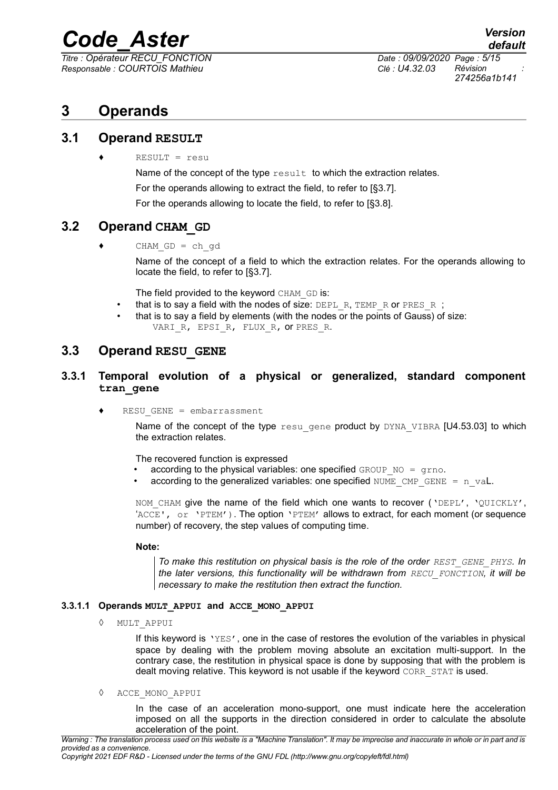*Titre : Opérateur RECU\_FONCTION Date : 09/09/2020 Page : 5/15 Responsable : COURTOIS Mathieu Clé : U4.32.03 Révision :*

*274256a1b141*

# **3 Operands**

### **3.1 Operand RESULT**

♦ RESULT = resu

Name of the concept of the type  $result$  to which the extraction relates.

For the operands allowing to extract the field, to refer to [§3.7].

For the operands allowing to locate the field, to refer to [§3.8].

# **3.2 Operand CHAM GD**

 $CHAM$   $GD = ch$   $qd$ 

Name of the concept of a field to which the extraction relates. For the operands allowing to locate the field, to refer to [§3.7].

The field provided to the keyword CHAM GD is:

- that is to say a field with the nodes of size: DEPL R, TEMP R or PRES R ;
- that is to say a field by elements (with the nodes or the points of Gauss) of size: VARI R, EPSI R, FLUX R, OT PRES R.

## **3.3 Operand RESU\_GENE**

#### **3.3.1 Temporal evolution of a physical or generalized, standard component tran\_gene**

 $RESU$  GENE = embarrassment

Name of the concept of the type  $resu$  gene product by  $DYNA$  VIBRA  $[U4.53.03]$  to which the extraction relates.

The recovered function is expressed

- according to the physical variables: one specified GROUP  $NO = grno$ .
- according to the generalized variables: one specified NUME CMP GENE =  $n$  val.

NOM CHAM give the name of the field which one wants to recover ('DEPL', 'QUICKLY', 'ACCE', or 'PTEM'). The option 'PTEM' allows to extract, for each moment (or sequence number) of recovery, the step values of computing time.

#### **Note:**

*To make this restitution on physical basis is the role of the order REST GENE PHYS. In the later versions, this functionality will be withdrawn from RECU\_FONCTION, it will be necessary to make the restitution then extract the function.*

#### **3.3.1.1 Operands MULT\_APPUI and ACCE\_MONO\_APPUI**

◊ MULT\_APPUI

If this keyword is 'YES', one in the case of restores the evolution of the variables in physical space by dealing with the problem moving absolute an excitation multi-support. In the contrary case, the restitution in physical space is done by supposing that with the problem is dealt moving relative. This keyword is not usable if the keyword CORR STAT is used.

◊ ACCE\_MONO\_APPUI

In the case of an acceleration mono-support, one must indicate here the acceleration imposed on all the supports in the direction considered in order to calculate the absolute acceleration of the point.

*Copyright 2021 EDF R&D - Licensed under the terms of the GNU FDL (http://www.gnu.org/copyleft/fdl.html)*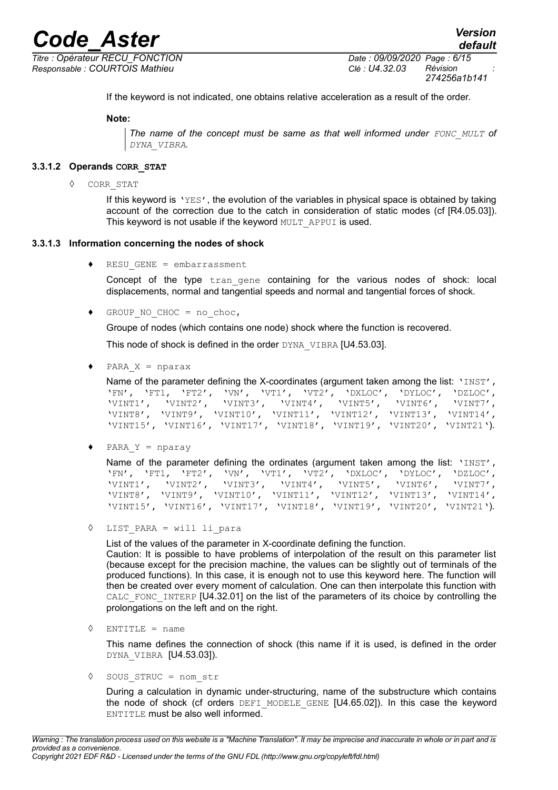*Responsable : COURTOIS Mathieu Clé : U4.32.03 Révision :*

*Titre : Opérateur RECU\_FONCTION Date : 09/09/2020 Page : 6/15 274256a1b141*

If the keyword is not indicated, one obtains relative acceleration as a result of the order.

#### **Note:**

*The name of the concept must be same as that well informed under FONC\_MULT of DYNA\_VIBRA.*

#### **3.3.1.2 Operands CORR\_STAT**

◊ CORR\_STAT

If this keyword is 'YES', the evolution of the variables in physical space is obtained by taking account of the correction due to the catch in consideration of static modes (cf [R4.05.03]). This keyword is not usable if the keyword MULT\_APPUI is used.

#### **3.3.1.3 Information concerning the nodes of shock**

 $RESU$  GENE = embarrassment

Concept of the type tran gene containing for the various nodes of shock: local displacements, normal and tangential speeds and normal and tangential forces of shock.

GROUP NO CHOC = no choc,

Groupe of nodes (which contains one node) shock where the function is recovered.

This node of shock is defined in the order DYNA\_VIBRA [U4.53.03].

PARA  $X = nparax$ 

```
Name of the parameter defining the X-coordinates (argument taken among the list: 'INST',
'FN', 'FT1, 'FT2', 'VN', 'VT1', 'VT2', 'DXLOC', 'DYLOC', 'DZLOC',
'VINT1', 'VINT2', 'VINT3', 'VINT4', 'VINT5', 'VINT6',
'VINT8', 'VINT9', 'VINT10', 'VINT11', 'VINT12', 'VINT13', 'VINT14',
'VINT15', 'VINT16', 'VINT17', 'VINT18', 'VINT19', 'VINT20', 'VINT21').
```
 $PARA Y = nparay$ 

|  |  | Name of the parameter defining the ordinates (argument taken among the list: 'INST', |  |
|--|--|--------------------------------------------------------------------------------------|--|
|  |  | 'FN', 'FT1, 'FT2', 'VN', 'VT1', 'VT2', 'DXLOC', 'DYLOC', 'DZLOC',                    |  |
|  |  | 'VINT1', 'VINT2', 'VINT3', 'VINT4', 'VINT5', 'VINT6', 'VINT7',                       |  |
|  |  | 'VINT8', 'VINT9', 'VINT10', 'VINT11', 'VINT12', 'VINT13', 'VINT14',                  |  |
|  |  | 'VINT15', 'VINT16', 'VINT17', 'VINT18', 'VINT19', 'VINT20', 'VINT21').               |  |

◊ LIST\_PARA = will li\_para

List of the values of the parameter in X-coordinate defining the function. Caution: It is possible to have problems of interpolation of the result on this parameter list (because except for the precision machine, the values can be slightly out of terminals of the produced functions). In this case, it is enough not to use this keyword here. The function will then be created over every moment of calculation. One can then interpolate this function with CALC FONC INTERP [U4.32.01] on the list of the parameters of its choice by controlling the prolongations on the left and on the right.

 $\Diamond$  ENTITLE = name

This name defines the connection of shock (this name if it is used, is defined in the order DYNA VIBRA [U4.53.03]).

◊ SOUS\_STRUC = nom\_str

During a calculation in dynamic under-structuring, name of the substructure which contains the node of shock (cf orders DEFI\_MODELE\_GENE [U4.65.02]). In this case the keyword ENTITLE must be also well informed.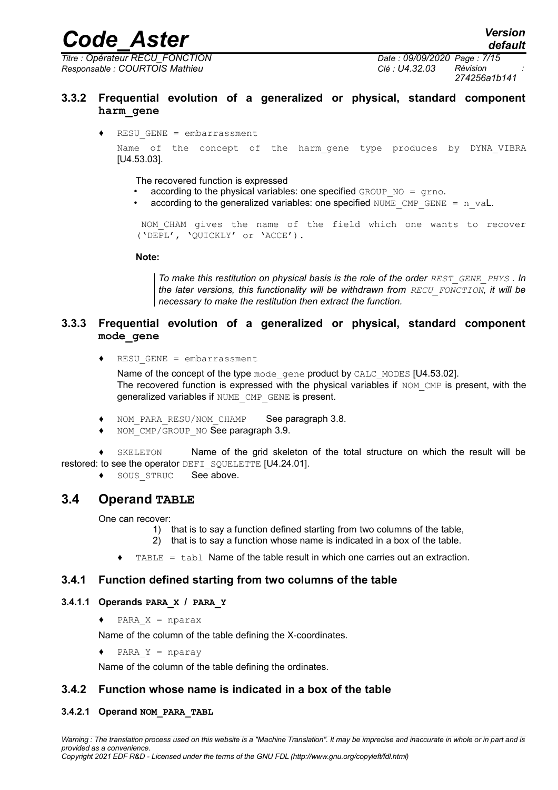*Titre : Opérateur RECU\_FONCTION Date : 09/09/2020 Page : 7/15 Responsable : COURTOIS Mathieu Clé : U4.32.03 Révision :*

*default 274256a1b141*

#### **3.3.2 Frequential evolution of a generalized or physical, standard component harm\_gene**

♦ RESU\_GENE = embarrassment

Name of the concept of the harm gene type produces by DYNA VIBRA [U4.53.03].

The recovered function is expressed

- according to the physical variables: one specified  $GROUP-NO = qrno$ .
- according to the generalized variables: one specified NUME CMP GENE =  $n$  val.

NOM\_CHAM gives the name of the field which one wants to recover ('DEPL', 'QUICKLY' or 'ACCE').

**Note:**

*To make this restitution on physical basis is the role of the order REST\_GENE\_PHYS* . In *the later versions, this functionality will be withdrawn from RECU\_FONCTION, it will be necessary to make the restitution then extract the function.*

#### **3.3.3 Frequential evolution of a generalized or physical, standard component mode\_gene**

♦ RESU\_GENE = embarrassment

Name of the concept of the type mode gene product by CALC MODES [U4.53.02]. The recovered function is expressed with the physical variables if  $NOM$  CMP is present, with the generalized variables if NUME CMP GENE is present.

- NOM PARA RESU/NOM CHAMP See paragraph [3.8.](#page-9-0)
- NOM\_CMP/GROUP\_NO See paragraph [3.9.](#page-10-0)

♦ SKELETON Name of the grid skeleton of the total structure on which the result will be restored: to see the operator DEFI\_SQUELETTE [U4.24.01].

◆ SOUS STRUC See above.

## **3.4 Operand TABLE**

One can recover:

- 1) that is to say a function defined starting from two columns of the table,
- 2) that is to say a function whose name is indicated in a box of the table.
- TABLE =  $t$ abl Name of the table result in which one carries out an extraction.

#### **3.4.1 Function defined starting from two columns of the table**

#### **3.4.1.1 Operands PARA\_X / PARA\_Y**

 $\triangleleft$  PARA  $X$  = nparax

Name of the column of the table defining the X-coordinates.

♦ PARA\_Y = nparay

Name of the column of the table defining the ordinates.

#### **3.4.2 Function whose name is indicated in a box of the table**

#### **3.4.2.1 Operand NOM\_PARA\_TABL**

*Copyright 2021 EDF R&D - Licensed under the terms of the GNU FDL (http://www.gnu.org/copyleft/fdl.html)*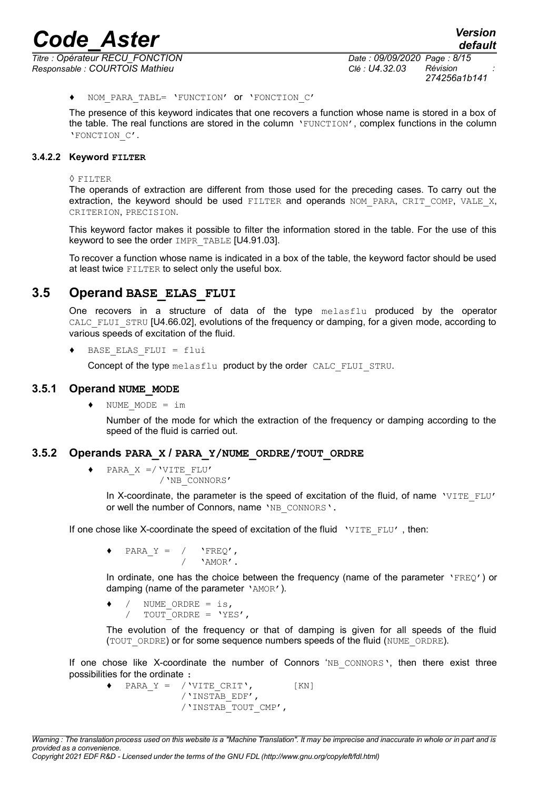*Responsable : COURTOIS Mathieu Clé : U4.32.03 Révision :*

*Titre : Opérateur RECU\_FONCTION Date : 09/09/2020 Page : 8/15 274256a1b141*

#### NOM PARA TABL= 'FUNCTION' or 'FONCTION C'

The presence of this keyword indicates that one recovers a function whose name is stored in a box of the table. The real functions are stored in the column 'FUNCTION', complex functions in the column 'FONCTION\_C'.

#### **3.4.2.2 Keyword FILTER**

◊ FILTER

The operands of extraction are different from those used for the preceding cases. To carry out the extraction, the keyword should be used FILTER and operands NOM PARA, CRIT COMP, VALE X, CRITERION, PRECISION.

This keyword factor makes it possible to filter the information stored in the table. For the use of this keyword to see the order IMPR\_TABLE [U4.91.03].

To recover a function whose name is indicated in a box of the table, the keyword factor should be used at least twice FILTER to select only the useful box.

#### **3.5 Operand BASE\_ELAS\_FLUI**

One recovers in a structure of data of the type melasflu produced by the operator CALC FLUI STRU [U4.66.02], evolutions of the frequency or damping, for a given mode, according to various speeds of excitation of the fluid.

BASE ELAS FLUI =  $flui$ 

Concept of the type melasflu product by the order CALC\_FLUI\_STRU.

#### **3.5.1 Operand NUME\_MODE**

♦ NUME\_MODE = im

Number of the mode for which the extraction of the frequency or damping according to the speed of the fluid is carried out.

#### **3.5.2 Operands PARA\_X / PARA\_Y/NUME\_ORDRE/TOUT\_ORDRE**

♦ PARA\_X =/'VITE\_FLU' /'NB\_CONNORS'

> In X-coordinate, the parameter is the speed of excitation of the fluid, of name  $VUTEFLU'$ or well the number of Connors, name 'NB CONNORS'.

If one chose like X-coordinate the speed of excitation of the fluid  $\sqrt{V_1T}E_FLU'$ , then:

PARA  $Y = / '$  'FREQ', / 'AMOR'.

In ordinate, one has the choice between the frequency (name of the parameter 'FREQ') or damping (name of the parameter 'AMOR').

/ NUME ORDRE = is, /  $TOUT^\top$ ORDRE = 'YES',

The evolution of the frequency or that of damping is given for all speeds of the fluid (TOUT ORDRE) or for some sequence numbers speeds of the fluid (NUME ORDRE).

If one chose like X-coordinate the number of Connors 'NB CONNORS', then there exist three possibilities for the ordinate :

 $\blacklozenge$  PARA Y = /'VITE CRIT', [KN] /'INSTAB\_EDF', /'INSTAB\_TOUT\_CMP',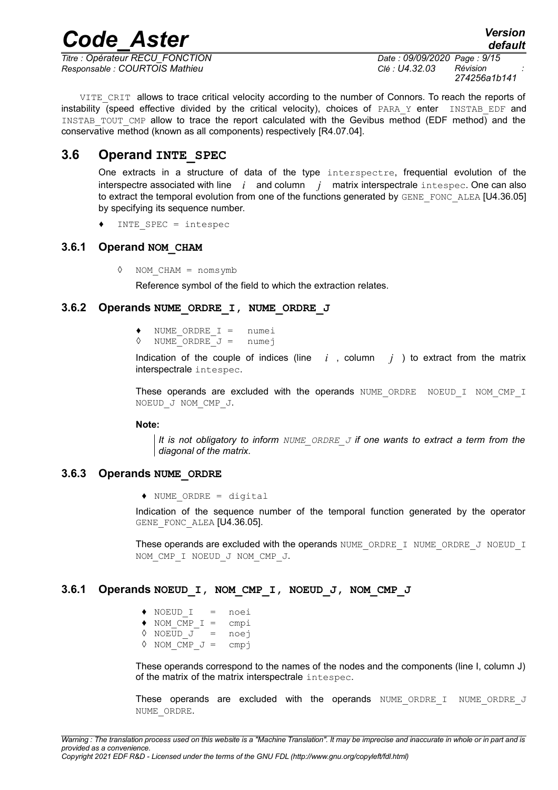*Titre : Opérateur RECU\_FONCTION Date : 09/09/2020 Page : 9/15 Responsable : COURTOIS Mathieu Clé : U4.32.03 Révision :*

*274256a1b141*

*default*

VITE CRIT allows to trace critical velocity according to the number of Connors. To reach the reports of instability (speed effective divided by the critical velocity), choices of PARA Y enter INSTAB EDF and INSTAB\_TOUT\_CMP allow to trace the report calculated with the Gevibus method (EDF method) and the conservative method (known as all components) respectively [R4.07.04].

*Code\_Aster Version*

### **3.6 Operand INTE\_SPEC**

One extracts in a structure of data of the type interspectre, frequential evolution of the interspectre associated with line *i* and column *j* matrix interspectrale intespec. One can also to extract the temporal evolution from one of the functions generated by GENE\_FONC\_ALEA [U4.36.05] by specifying its sequence number.

INTE SPEC =  $intespec$ 

#### **3.6.1 Operand NOM\_CHAM**

◊ NOM\_CHAM = nomsymb

Reference symbol of the field to which the extraction relates.

#### **3.6.2 Operands NUME\_ORDRE\_I, NUME\_ORDRE\_J**

- $\begin{array}{rcl}\n\text{NUME}\_\text{ORDER} & \text{I} & = & \text{numei} \\
\text{NUME}\_\text{ORDER} & \text{J} & = & \text{numej}\n\end{array}$
- $\sqrt{a}$  NUME ORDRE  $J =$

Indication of the couple of indices (line  $i$ , column  $j$ ) to extract from the matrix interspectrale intespec.

These operands are excluded with the operands NUME\_ORDRE NOEUD\_I\_NOM\_CMP\_I NOEUD\_J NOM\_CMP\_J.

#### **Note:**

*It is not obligatory to inform NUME\_ORDRE\_J if one wants to extract a term from the diagonal of the matrix.*

#### **3.6.3 Operands NUME\_ORDRE**

♦ NUME\_ORDRE = digital

Indication of the sequence number of the temporal function generated by the operator GENE FONC ALEA [U4.36.05].

These operands are excluded with the operands NUME\_ORDRE\_I\_NUME\_ORDRE\_J\_NOEUD\_I NOM\_CMP\_I NOEUD\_J NOM\_CMP\_J.

#### **3.6.1 Operands NOEUD\_I, NOM\_CMP\_I, NOEUD\_J, NOM\_CMP\_J**

♦ NOEUD\_I = noei  $\triangleleft$  NOM CMP I = cmpi ◊ NOEUD\_J = noej  $\Diamond$  NOM CMP  $J =$  cmpj

These operands correspond to the names of the nodes and the components (line I, column J) of the matrix of the matrix interspectrale intespec.

These operands are excluded with the operands NUME\_ORDRE\_I NUME\_ORDRE\_J NUME\_ORDRE.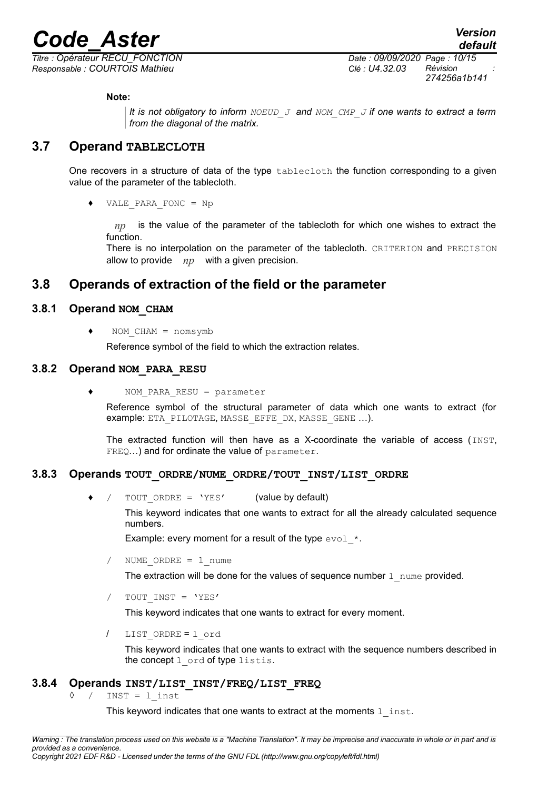*Responsable : COURTOIS Mathieu Clé : U4.32.03 Révision :*

*Titre : Opérateur RECU\_FONCTION Date : 09/09/2020 Page : 10/15 274256a1b141*

#### **Note:**

*It is not obligatory to inform NOEUD\_J and NOM\_CMP\_J if one wants to extract a term from the diagonal of the matrix.*

### **3.7 Operand TABLECLOTH**

One recovers in a structure of data of the type tablecloth the function corresponding to a given value of the parameter of the tablecloth.

♦ VALE\_PARA\_FONC = Np

*np* is the value of the parameter of the tablecloth for which one wishes to extract the function.

There is no interpolation on the parameter of the tablecloth. CRITERION and PRECISION allow to provide *np* with a given precision.

# <span id="page-9-0"></span>**3.8 Operands of extraction of the field or the parameter**

#### **3.8.1 Operand NOM\_CHAM**

 $NOM$   $CHAM$  =  $nomsymb$ 

Reference symbol of the field to which the extraction relates.

#### **3.8.2 Operand NOM\_PARA\_RESU**

 $NOM$  PARA RESU = parameter

Reference symbol of the structural parameter of data which one wants to extract (for example: ETA\_PILOTAGE, MASSE\_EFFE\_DX, MASSE\_GENE ...).

The extracted function will then have as a X-coordinate the variable of access (INST, FREQ...) and for ordinate the value of parameter.

#### **3.8.3 Operands TOUT\_ORDRE/NUME\_ORDRE/TOUT\_INST/LIST\_ORDRE**

TOUT ORDRE = 'YES' (value by default)

This keyword indicates that one wants to extract for all the already calculated sequence numbers.

Example: every moment for a result of the type  $evol$  \*.

NUME ORDRE =  $l$  nume

The extraction will be done for the values of sequence number  $1$  nume provided.

TOUT INST = 'YES'

This keyword indicates that one wants to extract for every moment.

/ LIST\_ORDRE = l\_ord

This keyword indicates that one wants to extract with the sequence numbers described in the concept  $l$  ord of type listis.

#### **3.8.4 Operands INST/LIST\_INST/FREQ/LIST\_FREQ**

 $\Diamond$  / INST = 1 inst

This keyword indicates that one wants to extract at the moments  $1$  inst.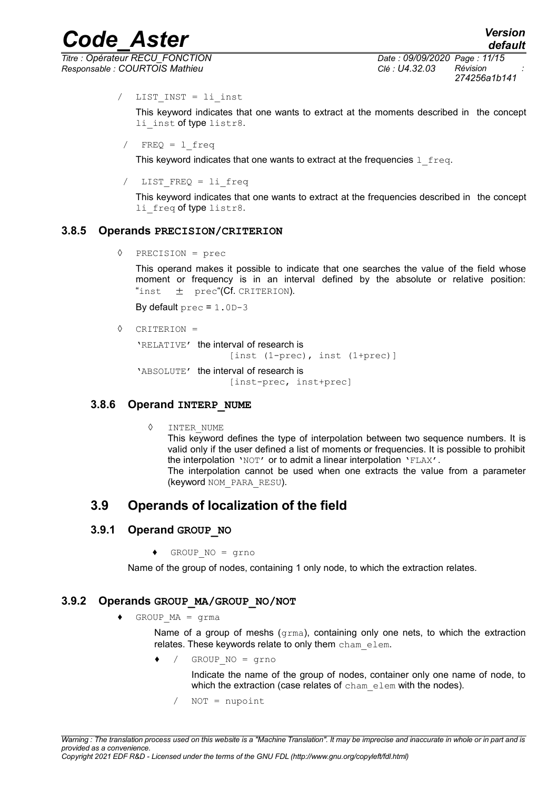*default*

# *Code\_Aster Version*

*Titre : Opérateur RECU\_FONCTION Date : 09/09/2020 Page : 11/15 Responsable : COURTOIS Mathieu Clé : U4.32.03 Révision :*

*274256a1b141*

/ LIST\_INST = li\_inst

This keyword indicates that one wants to extract at the moments described in the concept li inst of type listr8.

 $FREQ = 1$  freq

This keyword indicates that one wants to extract at the frequencies  $1 \text{ free}$ .

LIST FREQ = li freq

This keyword indicates that one wants to extract at the frequencies described in the concept li freq of type listr8.

#### **3.8.5 Operands PRECISION/CRITERION**

◊ PRECISION = prec

This operand makes it possible to indicate that one searches the value of the field whose moment or frequency is in an interval defined by the absolute or relative position: "inst  $\pm$  prec"(Cf. CRITERION).

By default  $prec = 1.0D-3$ 

◊ CRITERION =

'RELATIVE' the interval of research is [inst (1-prec), inst (1+prec)]

'ABSOLUTE' the interval of research is [inst-prec, inst+prec]

#### **3.8.6 Operand INTERP\_NUME**

◊ INTER\_NUME

This keyword defines the type of interpolation between two sequence numbers. It is valid only if the user defined a list of moments or frequencies. It is possible to prohibit the interpolation 'NOT' or to admit a linear interpolation 'FLAX'.

The interpolation cannot be used when one extracts the value from a parameter (keyword NOM\_PARA\_RESU).

# <span id="page-10-0"></span>**3.9 Operands of localization of the field**

#### **3.9.1 Operand GROUP\_NO**

 $\triangleleft$  GROUP NO = grno

Name of the group of nodes, containing 1 only node, to which the extraction relates.

#### **3.9.2 Operands GROUP\_MA/GROUP\_NO/NOT**

♦ GROUP\_MA = grma

Name of a group of meshs (grma), containing only one nets, to which the extraction relates. These keywords relate to only them cham elem.

♦ / GROUP\_NO = grno

Indicate the name of the group of nodes, container only one name of node, to which the extraction (case relates of cham elem with the nodes).

/ NOT = nupoint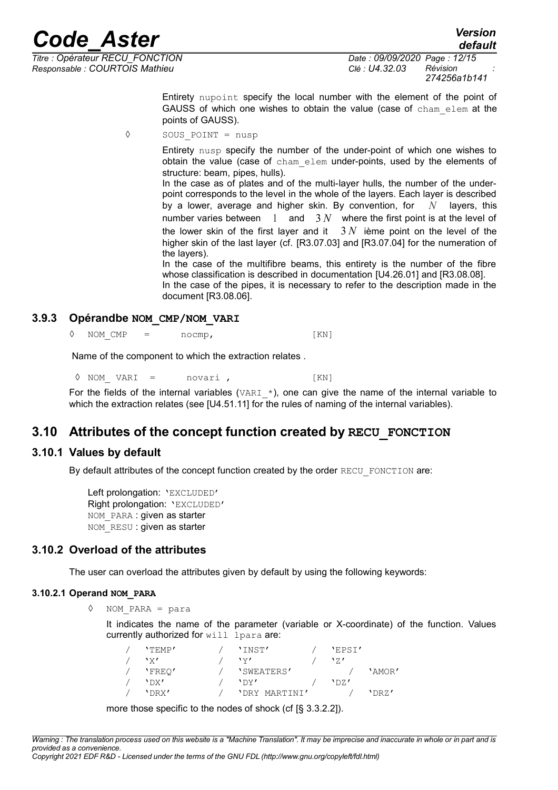*Responsable : COURTOIS Mathieu Clé : U4.32.03 Révision :*

*Titre : Opérateur RECU\_FONCTION Date : 09/09/2020 Page : 12/15 274256a1b141*

> Entirety nupoint specify the local number with the element of the point of GAUSS of which one wishes to obtain the value (case of cham\_elem at the points of GAUSS).

◊ SOUS\_POINT = nusp

Entirety nusp specify the number of the under-point of which one wishes to obtain the value (case of cham\_elem under-points, used by the elements of structure: beam, pipes, hulls).

In the case as of plates and of the multi-layer hulls, the number of the underpoint corresponds to the level in the whole of the layers. Each layer is described by a lower, average and higher skin. By convention, for *N* layers, this number varies between 1 and 3 *N* where the first point is at the level of the lower skin of the first layer and it  $3 N$  ième point on the level of the higher skin of the last layer (cf. [R3.07.03] and [R3.07.04] for the numeration of the layers).

In the case of the multifibre beams, this entirety is the number of the fibre whose classification is described in documentation [U4.26.01] and [R3.08.08].

In the case of the pipes, it is necessary to refer to the description made in the document [R3.08.06].

#### **3.9.3 Opérandbe NOM\_CMP/NOM\_VARI**

 $\Diamond$  NOM CMP = nocmp, [KN]

Name of the component to which the extraction relates .

◊ NOM\_ VARI = novari , [KN]

For the fields of the internal variables (VARI  $*$ ), one can give the name of the internal variable to which the extraction relates (see [U4.51.11] for the rules of naming of the internal variables).

# **3.10 Attributes of the concept function created by RECU\_FONCTION**

#### **3.10.1 Values by default**

By default attributes of the concept function created by the order RECU\_FONCTION are:

Left prolongation: 'EXCLUDED' Right prolongation: 'EXCLUDED' NOM\_PARA : given as starter NOM RESU : given as starter

#### **3.10.2 Overload of the attributes**

The user can overload the attributes given by default by using the following keywords:

#### **3.10.2.1 Operand NOM\_PARA**

◊ NOM\_PARA = para

It indicates the name of the parameter (variable or X-coordinate) of the function. Values currently authorized for will lpara are:

| $'$ <sub>TEMP</sub> | 'INST'        | 'EPSI'        |        |
|---------------------|---------------|---------------|--------|
| 'x'                 | \v1           | $\frac{1}{7}$ |        |
| 'FREO'              | 'SWEATERS'    |               | 'AMOR' |
| $'$ DX $'$          | $'$ Dy $'$    | 'DR'          |        |
| 'DRX'               | 'DRY MARTINI' |               | 'DRZ'  |

more those specific to the nodes of shock (cf [§ 3.3.2.2]).

*Warning : The translation process used on this website is a "Machine Translation". It may be imprecise and inaccurate in whole or in part and is provided as a convenience. Copyright 2021 EDF R&D - Licensed under the terms of the GNU FDL (http://www.gnu.org/copyleft/fdl.html)*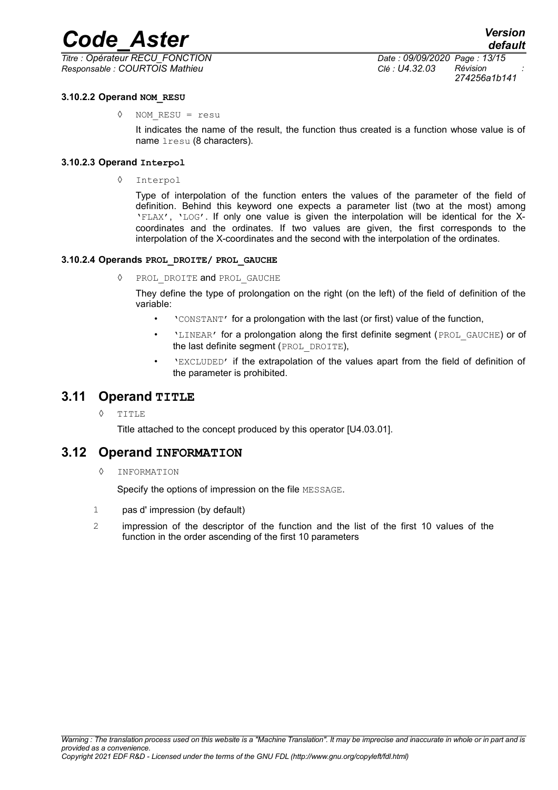*Titre : Opérateur RECU\_FONCTION Date : 09/09/2020 Page : 13/15 Responsable : COURTOIS Mathieu Clé : U4.32.03 Révision :*

*274256a1b141*

#### **3.10.2.2 Operand NOM\_RESU**

◊ NOM\_RESU = resu

It indicates the name of the result, the function thus created is a function whose value is of name lresu (8 characters).

#### **3.10.2.3 Operand Interpol**

◊ Interpol

Type of interpolation of the function enters the values of the parameter of the field of definition. Behind this keyword one expects a parameter list (two at the most) among 'FLAX', 'LOG'. If only one value is given the interpolation will be identical for the Xcoordinates and the ordinates. If two values are given, the first corresponds to the interpolation of the X-coordinates and the second with the interpolation of the ordinates.

#### **3.10.2.4 Operands PROL\_DROITE/ PROL\_GAUCHE**

◊ PROL\_DROITE and PROL\_GAUCHE

They define the type of prolongation on the right (on the left) of the field of definition of the variable:

- 'CONSTANT' for a prolongation with the last (or first) value of the function,
- **LINEAR'** for a prolongation along the first definite segment (PROL GAUCHE) or of the last definite segment (PROL\_DROITE),
- 'EXCLUDED' if the extrapolation of the values apart from the field of definition of the parameter is prohibited.

#### **3.11 Operand TITLE**

◊ TITLE

Title attached to the concept produced by this operator [U4.03.01].

#### **3.12 Operand INFORMATION**

◊ INFORMATION

Specify the options of impression on the file MESSAGE.

- 1 pas d' impression (by default)
- 2 impression of the descriptor of the function and the list of the first 10 values of the function in the order ascending of the first 10 parameters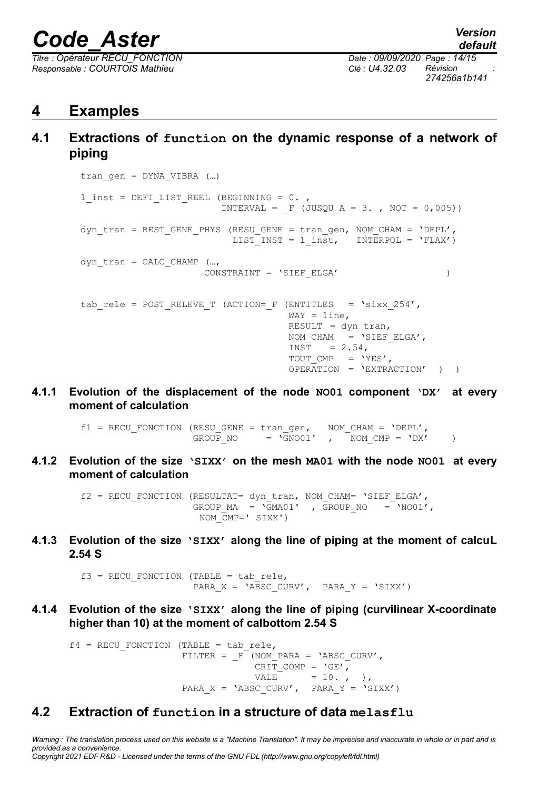*Titre : Opérateur RECU\_FONCTION Date : 09/09/2020 Page : 14/15 Responsable : COURTOIS Mathieu Clé : U4.32.03 Révision :*

# **4 Examples**

**4.1 Extractions of function on the dynamic response of a network of piping**

```
tran qen = DYNA VIBRA (...)l_inst = DEFI_LIST_REEL (BEGINNING = 0.,
                        INTERVAL = F (JUSQU A = 3. , NOT = 0,005))dyn tran = REST GENE PHYS (RESU GENE = tran gen, NOM CHAM = 'DEPL',
                          LIST INST = l inst, INTERPOL = 'FLAX')
dyn tran = CALCCHAMP (...,
                     CONSTRAINT = 'SIEF_ELGA' )
tab rele = POST RELEVE T (ACTION= F (ENTITLES = 'sixx 254',
                                    WAY = line,
                                    RESULT = dyn tran,
                                    NOM CHAM = \overline{S} SIEF ELGA',
                                    INST = 2.54,
                                    TOUT CMP = 'YES',
                                     OPERATION = 'EXTRACTION' ) )
```
**4.1.1 Evolution of the displacement of the node NO01 component 'DX' at every moment of calculation**

> $f1 = RECU_FONCTION (RESU_GENE = tran\_gen, NOM_CHAM = 'DEPL', GROUP NO = 'GNO01', NOM CMP = 'DX'.$ GROUP NO =  $\overline{GN001'}$  ,  $\overline{NOM}$  CMP =  $\overline{DX'}$  )

**4.1.2 Evolution of the size 'SIXX' on the mesh MA01 with the node NO01 at every moment of calculation**

> f2 = RECU\_FONCTION (RESULTAT= dyn\_tran, NOM\_CHAM= 'SIEF\_ELGA', GROUP MA =  $\sqrt{GMA01'}$ , GROUP NO =  $\sqrt{NOO1'}$ , NOM  $CMP=$ ' SIXX')

**4.1.3 Evolution of the size 'SIXX' along the line of piping at the moment of calcuL 2.54 S**

> $f3$  = RECU FONCTION (TABLE = tab rele, PARA X = 'ABSC CURV', PARA Y = 'SIXX')

**4.1.4 Evolution of the size 'SIXX' along the line of piping (curvilinear X-coordinate higher than 10) at the moment of calbottom 2.54 S**

 $f4$  = RECU FONCTION (TABLE = tab rele, FILTER =  $F$  (NOM PARA = 'ABSC CURV', CRIT COMP =  $'GE',$  $VALE$  = 10., ), PARA  $X = 'ABSC CURV', PARA'Y = 'SIXX')$ 

## **4.2 Extraction of function in a structure of data melasflu**

*Copyright 2021 EDF R&D - Licensed under the terms of the GNU FDL (http://www.gnu.org/copyleft/fdl.html)*